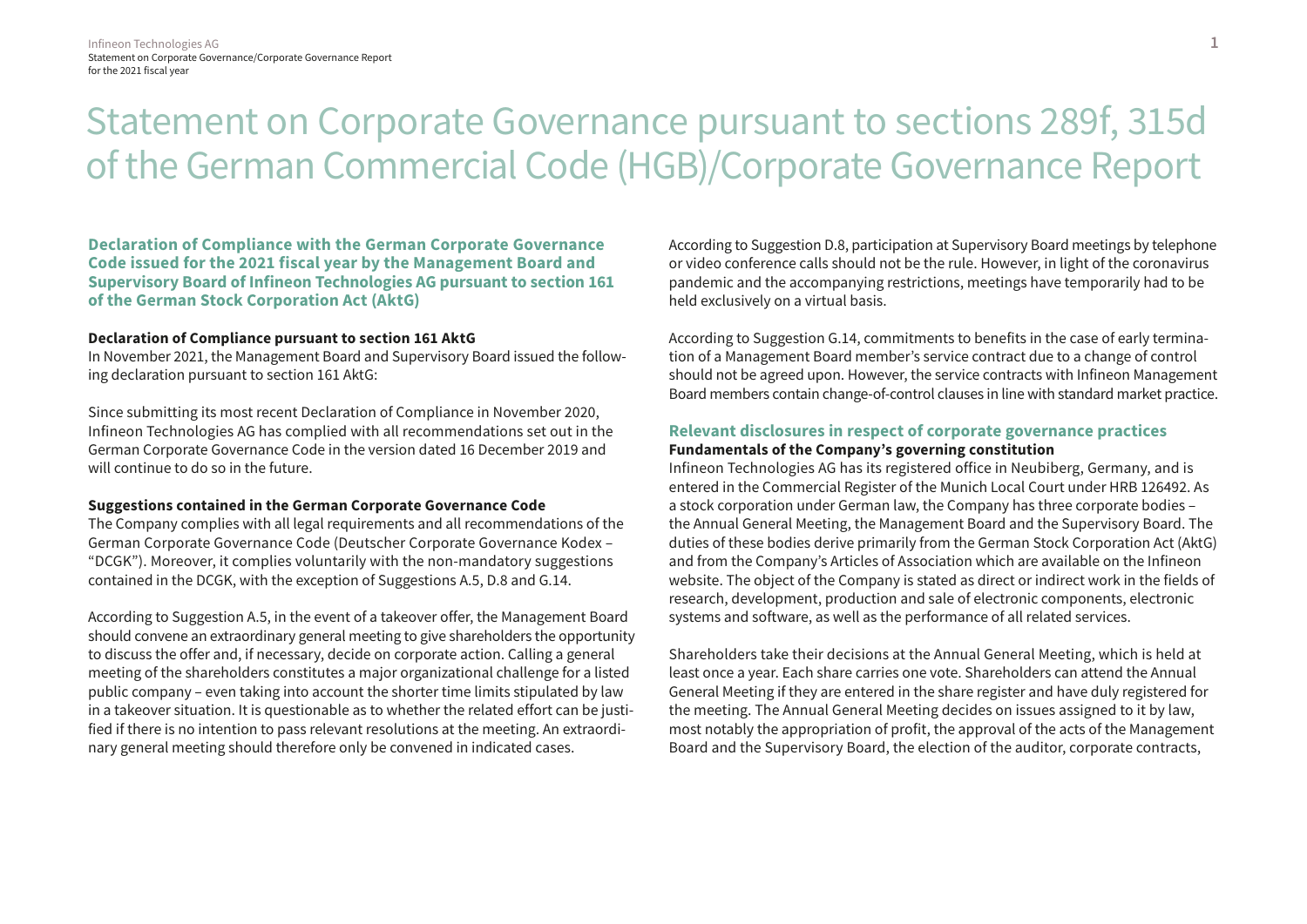# Statement on Corporate Governance pursuant to sections 289f, 315d of the German Commercial Code (HGB)/Corporate Governance Report

**Declaration of Compliance with the German Corporate Governance Code issued for the 2021 fiscal year by the Management Board and Supervisory Board of Infineon Technologies AG pursuant to section 161 of the German Stock Corporation Act (AktG)**

# **Declaration of Compliance pursuant to section 161 AktG**

In November 2021, the Management Board and Supervisory Board issued the following declaration pursuant to section 161 AktG:

Since submitting its most recent Declaration of Compliance in November 2020, Infineon Technologies AG has complied with all recommendations set out in the German Corporate Governance Code in the version dated 16 December 2019 and will continue to do so in the future.

#### **Suggestions contained in the German Corporate Governance Code**

The Company complies with all legal requirements and all recommendations of the German Corporate Governance Code (Deutscher Corporate Governance Kodex – "DCGK"). Moreover, it complies voluntarily with the non-mandatory suggestions contained in the DCGK, with the exception of Suggestions A.5, D.8 and G.14.

According to Suggestion A.5, in the event of a takeover offer, the Management Board should convene an extraordinary general meeting to give shareholders the opportunity to discuss the offer and, if necessary, decide on corporate action. Calling a general meeting of the shareholders constitutes a major organizational challenge for a listed public company – even taking into account the shorter time limits stipulated by law in a takeover situation. It is questionable as to whether the related effort can be justified if there is no intention to pass relevant resolutions at the meeting. An extraordinary general meeting should therefore only be convened in indicated cases.

According to Suggestion D.8, participation at Supervisory Board meetings by telephone or video conference calls should not be the rule. However, in light of the coronavirus pandemic and the accompanying restrictions, meetings have temporarily had to be held exclusively on a virtual basis.

According to Suggestion G.14, commitments to benefits in the case of early termination of a Management Board member's service contract due to a change of control should not be agreed upon. However, the service contracts with Infineon Management Board members contain change-of-control clauses in line with standard market practice.

# **Relevant disclosures in respect of corporate governance practices Fundamentals of the Company's governing constitution**

Infineon Technologies AG has its registered office in Neubiberg, Germany, and is entered in the Commercial Register of the Munich Local Court under HRB 126492. As a stock corporation under German law, the Company has three corporate bodies – the Annual General Meeting, the Management Board and the Supervisory Board. The duties of these bodies derive primarily from the German Stock Corporation Act (AktG) and from the Company's Articles of Association which are available on the Infineon website. The object of the Company is stated as direct or indirect work in the fields of research, development, production and sale of electronic components, electronic systems and software, as well as the performance of all related services.

Shareholders take their decisions at the Annual General Meeting, which is held at least once a year. Each share carries one vote. Shareholders can attend the Annual General Meeting if they are entered in the share register and have duly registered for the meeting. The Annual General Meeting decides on issues assigned to it by law, most notably the appropriation of profit, the approval of the acts of the Management Board and the Supervisory Board, the election of the auditor, corporate contracts,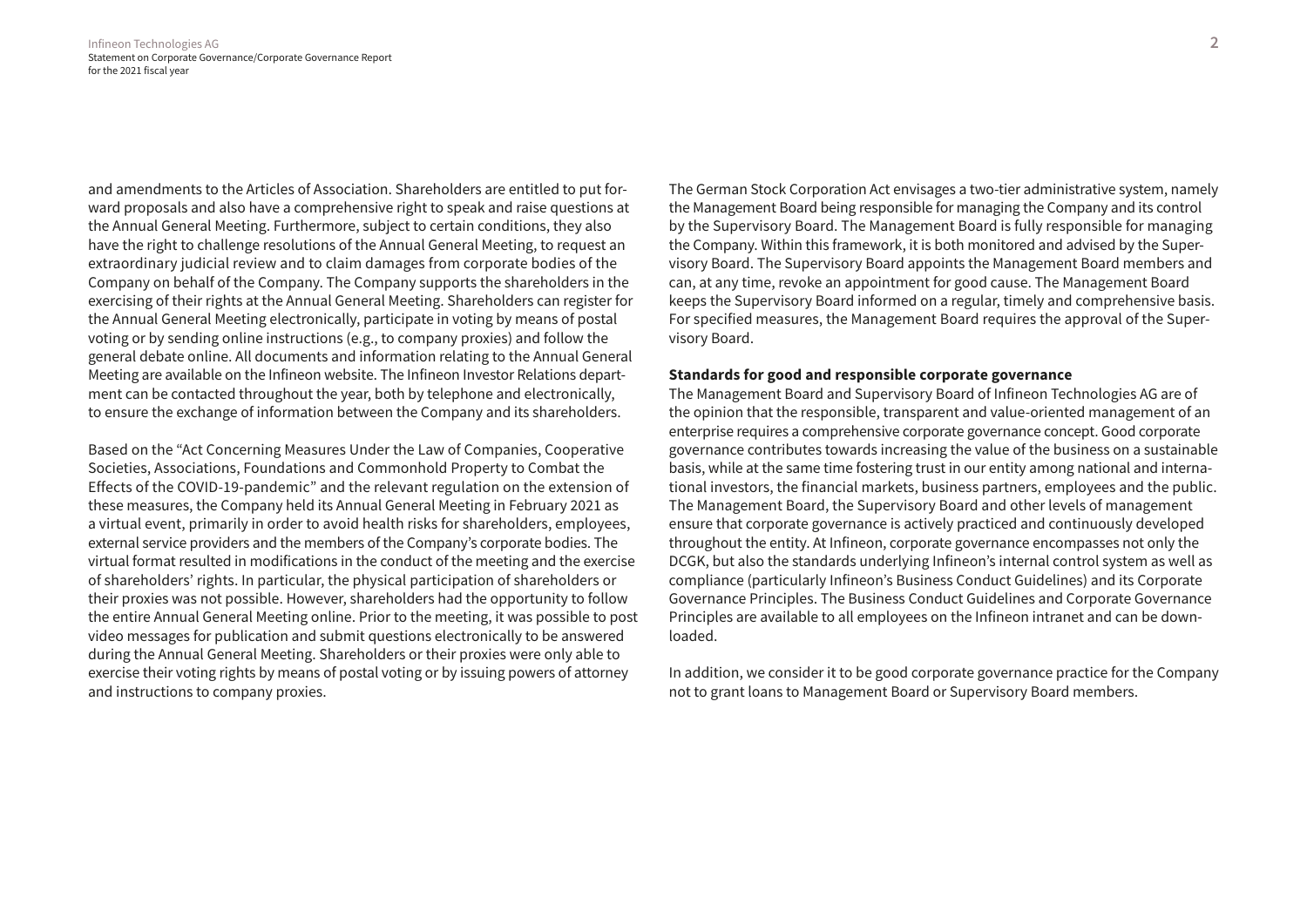and amendments to the Articles of Association. Shareholders are entitled to put forward proposals and also have a comprehensive right to speak and raise questions at the Annual General Meeting. Furthermore, subject to certain conditions, they also have the right to challenge resolutions of the Annual General Meeting, to request an extraordinary judicial review and to claim damages from corporate bodies of the Company on behalf of the Company. The Company supports the shareholders in the exercising of their rights at the Annual General Meeting. Shareholders can register for the Annual General Meeting electronically, participate in voting by means of postal voting or by sending online instructions (e.g., to company proxies) and follow the general debate online. All documents and information relating to the Annual General Meeting are available on the Infineon website. The Infineon Investor Relations department can be contacted throughout the year, both by telephone and electronically, to ensure the exchange of information between the Company and its shareholders.

Based on the "Act Concerning Measures Under the Law of Companies, Cooperative Societies, Associations, Foundations and Commonhold Property to Combat the Effects of the COVID-19-pandemic" and the relevant regulation on the extension of these measures, the Company held its Annual General Meeting in February 2021 as a virtual event, primarily in order to avoid health risks for shareholders, employees, external service providers and the members of the Company's corporate bodies. The virtual format resulted in modifications in the conduct of the meeting and the exercise of shareholders' rights. In particular, the physical participation of shareholders or their proxies was not possible. However, shareholders had the opportunity to follow the entire Annual General Meeting online. Prior to the meeting, it was possible to post video messages for publication and submit questions electronically to be answered during the Annual General Meeting. Shareholders or their proxies were only able to exercise their voting rights by means of postal voting or by issuing powers of attorney and instructions to company proxies.

The German Stock Corporation Act envisages a two-tier administrative system, namely the Management Board being responsible for managing the Company and its control by the Supervisory Board. The Management Board is fully responsible for managing the Company. Within this framework, it is both monitored and advised by the Supervisory Board. The Supervisory Board appoints the Management Board members and can, at any time, revoke an appointment for good cause. The Management Board keeps the Supervisory Board informed on a regular, timely and comprehensive basis. For specified measures, the Management Board requires the approval of the Supervisory Board.

# **Standards for good and responsible corporate governance**

The Management Board and Supervisory Board of Infineon Technologies AG are of the opinion that the responsible, transparent and value-oriented management of an enterprise requires a comprehensive corporate governance concept. Good corporate governance contributes towards increasing the value of the business on a sustainable basis, while at the same time fostering trust in our entity among national and international investors, the financial markets, business partners, employees and the public. The Management Board, the Supervisory Board and other levels of management ensure that corporate governance is actively practiced and continuously developed throughout the entity. At Infineon, corporate governance encompasses not only the DCGK, but also the standards underlying Infineon's internal control system as well as compliance (particularly Infineon's Business Conduct Guidelines) and its Corporate Governance Principles. The Business Conduct Guidelines and Corporate Governance Principles are available to all employees on the Infineon intranet and can be downloaded.

In addition, we consider it to be good corporate governance practice for the Company not to grant loans to Management Board or Supervisory Board members.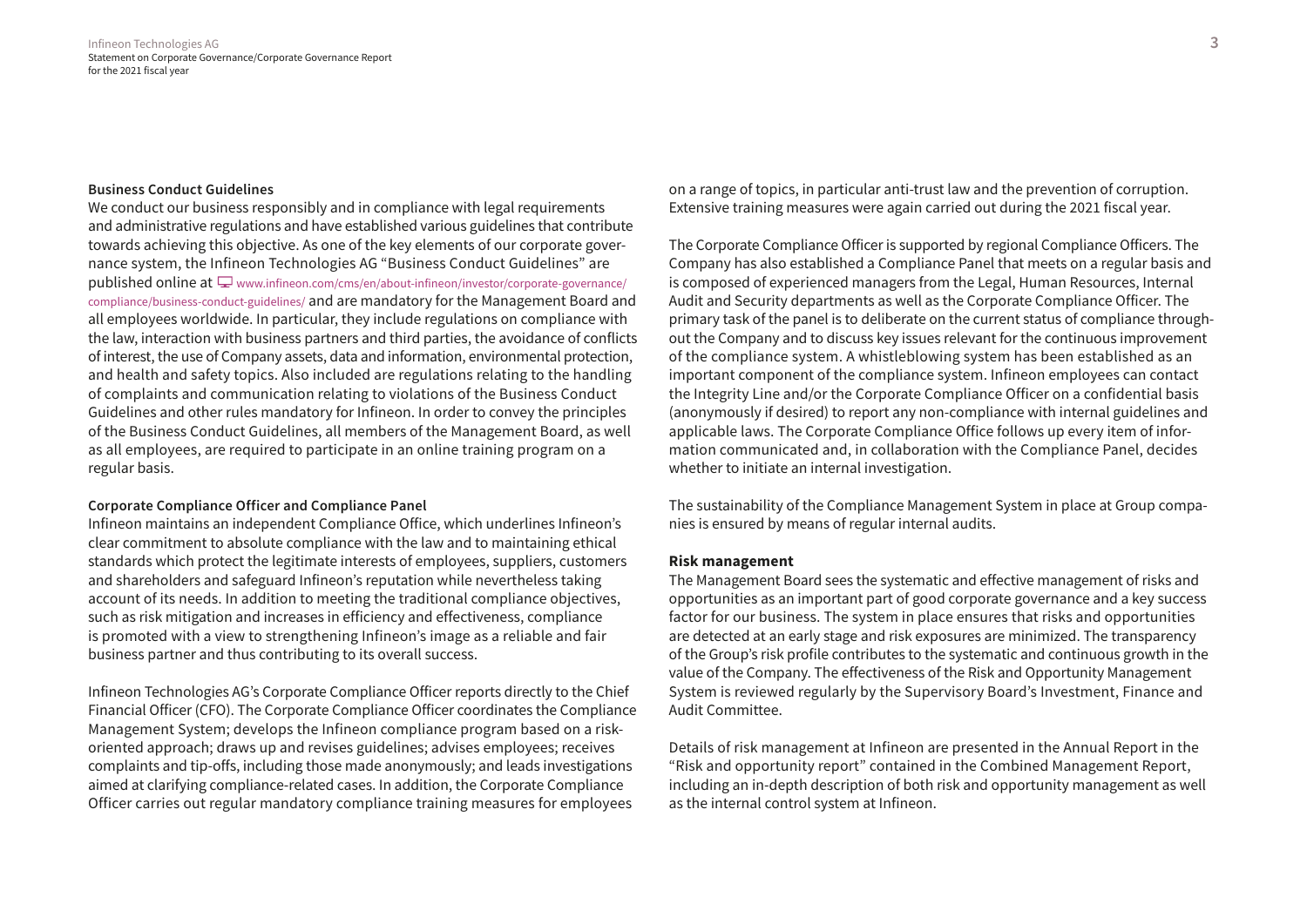#### **Business Conduct Guidelines**

We conduct our business responsibly and in compliance with legal requirements and administrative regulations and have established various guidelines that contribute towards achieving this objective. As one of the key elements of our corporate governance system, the Infineon Technologies AG "Business Conduct Guidelines" are published online at  $\Box$  [www.infineon.com/cms/en/about-infineon/investor/corporate-governance/](http://www.infineon.com/cms/en/about-infineon/investor/corporate-governance/compliance/business-conduct-guidelines/) [compliance/business-conduct-guidelines/](http://www.infineon.com/cms/en/about-infineon/investor/corporate-governance/compliance/business-conduct-guidelines/) and are mandatory for the Management Board and all employees worldwide. In particular, they include regulations on compliance with the law, interaction with business partners and third parties, the avoidance of conflicts of interest, the use of Company assets, data and information, environmental protection, and health and safety topics. Also included are regulations relating to the handling of complaints and communication relating to violations of the Business Conduct Guidelines and other rules mandatory for Infineon. In order to convey the principles of the Business Conduct Guidelines, all members of the Management Board, as well as all employees, are required to participate in an online training program on a regular basis.

#### **Corporate Compliance Officer and Compliance Panel**

Infineon maintains an independent Compliance Office, which underlines Infineon's clear commitment to absolute compliance with the law and to maintaining ethical standards which protect the legitimate interests of employees, suppliers, customers and shareholders and safeguard Infineon's reputation while nevertheless taking account of its needs. In addition to meeting the traditional compliance objectives, such as risk mitigation and increases in efficiency and effectiveness, compliance is promoted with a view to strengthening Infineon's image as a reliable and fair business partner and thus contributing to its overall success.

Infineon Technologies AG's Corporate Compliance Officer reports directly to the Chief Financial Officer (CFO). The Corporate Compliance Officer coordinates the Compliance Management System; develops the Infineon compliance program based on a riskoriented approach; draws up and revises guidelines; advises employees; receives complaints and tip-offs, including those made anonymously; and leads investigations aimed at clarifying compliance-related cases. In addition, the Corporate Compliance Officer carries out regular mandatory compliance training measures for employees

on a range of topics, in particular anti-trust law and the prevention of corruption. Extensive training measures were again carried out during the 2021 fiscal year.

The Corporate Compliance Officer is supported by regional Compliance Officers. The Company has also established a Compliance Panel that meets on a regular basis and is composed of experienced managers from the Legal, Human Resources, Internal Audit and Security departments as well as the Corporate Compliance Officer. The primary task of the panel is to deliberate on the current status of compliance throughout the Company and to discuss key issues relevant for the continuous improvement of the compliance system. A whistleblowing system has been established as an important component of the compliance system. Infineon employees can contact the Integrity Line and/or the Corporate Compliance Officer on a confidential basis (anonymously if desired) to report any non-compliance with internal guidelines and applicable laws. The Corporate Compliance Office follows up every item of information communicated and, in collaboration with the Compliance Panel, decides whether to initiate an internal investigation.

The sustainability of the Compliance Management System in place at Group companies is ensured by means of regular internal audits.

# **Risk management**

The Management Board sees the systematic and effective management of risks and opportunities as an important part of good corporate governance and a key success factor for our business. The system in place ensures that risks and opportunities are detected at an early stage and risk exposures are minimized. The transparency of the Group's risk profile contributes to the systematic and continuous growth in the value of the Company. The effectiveness of the Risk and Opportunity Management System is reviewed regularly by the Supervisory Board's Investment, Finance and Audit Committee.

Details of risk management at Infineon are presented in the Annual Report in the "Risk and opportunity report" contained in the Combined Management Report, including an in-depth description of both risk and opportunity management as well as the internal control system at Infineon.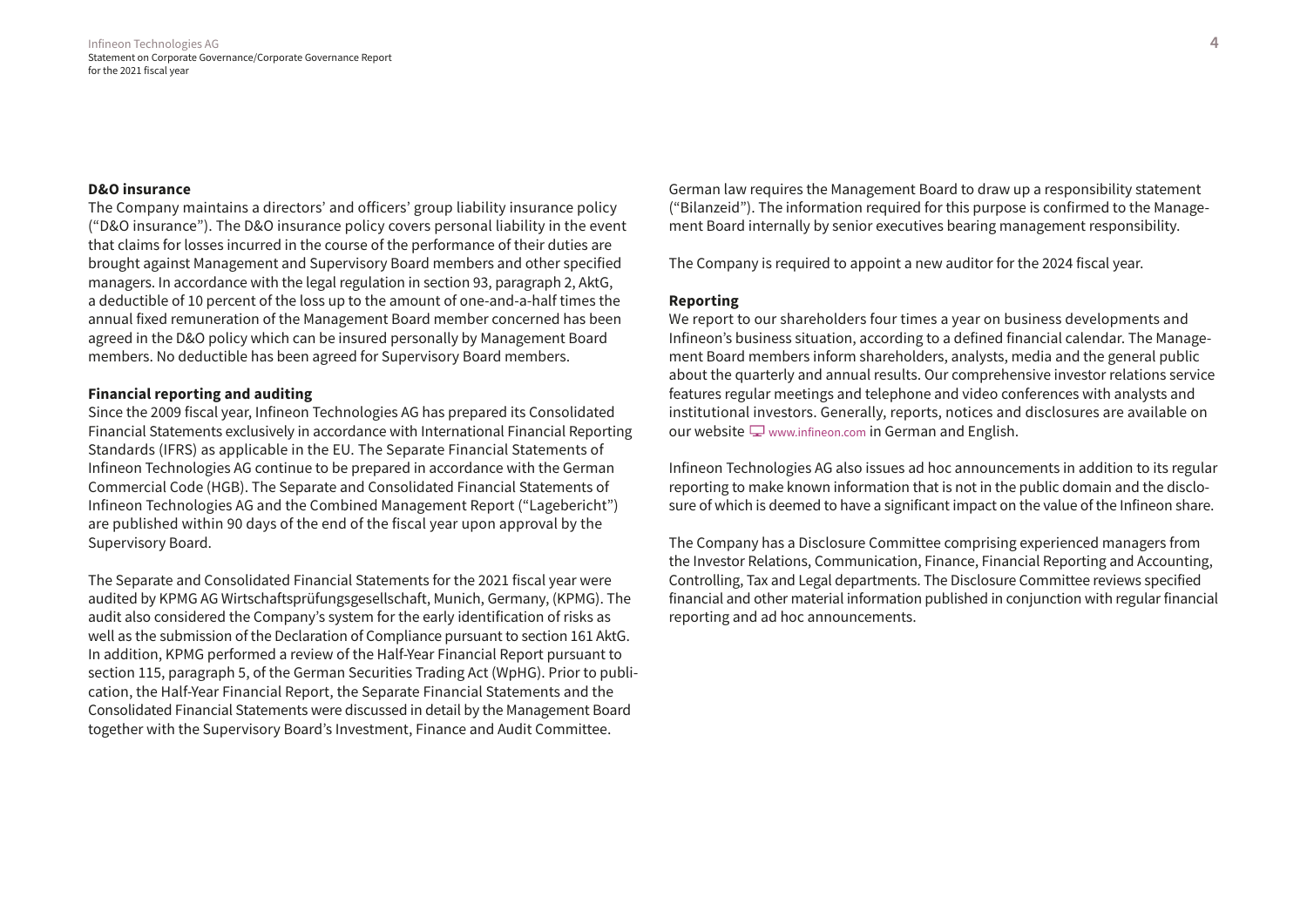#### **D&O insurance**

The Company maintains a directors' and officers' group liability insurance policy ("D&O insurance"). The D&O insurance policy covers personal liability in the event that claims for losses incurred in the course of the performance of their duties are brought against Management and Supervisory Board members and other specified managers. In accordance with the legal regulation in section 93, paragraph 2, AktG, a deductible of 10 percent of the loss up to the amount of one-and-a-half times the annual fixed remuneration of the Management Board member concerned has been agreed in the D&O policy which can be insured personally by Management Board members. No deductible has been agreed for Supervisory Board members.

# **Financial reporting and auditing**

Since the 2009 fiscal year, Infineon Technologies AG has prepared its Consolidated Financial Statements exclusively in accordance with International Financial Reporting Standards (IFRS) as applicable in the EU. The Separate Financial Statements of Infineon Technologies AG continue to be prepared in accordance with the German Commercial Code (HGB). The Separate and Consolidated Financial Statements of Infineon Technologies AG and the Combined Management Report ("Lagebericht") are published within 90 days of the end of the fiscal year upon approval by the Supervisory Board.

The Separate and Consolidated Financial Statements for the 2021 fiscal year were audited by KPMG AG Wirtschaftsprüfungsgesellschaft, Munich, Germany, (KPMG). The audit also considered the Company's system for the early identification of risks as well as the submission of the Declaration of Compliance pursuant to section 161 AktG. In addition, KPMG performed a review of the Half-Year Financial Report pursuant to section 115, paragraph 5, of the German Securities Trading Act (WpHG). Prior to publication, the Half-Year Financial Report, the Separate Financial Statements and the Consolidated Financial Statements were discussed in detail by the Management Board together with the Supervisory Board's Investment, Finance and Audit Committee.

German law requires the Management Board to draw up a responsibility statement ("Bilanzeid"). The information required for this purpose is confirmed to the Management Board internally by senior executives bearing management responsibility.

The Company is required to appoint a new auditor for the 2024 fiscal year.

# **Reporting**

We report to our shareholders four times a year on business developments and Infineon's business situation, according to a defined financial calendar. The Management Board members inform shareholders, analysts, media and the general public about the quarterly and annual results. Our comprehensive investor relations service features regular meetings and telephone and video conferences with analysts and institutional investors. Generally, reports, notices and disclosures are available on our website  $\Box$  [www.infineon.com](https://www.infineon.com/cms/en/) in German and English.

Infineon Technologies AG also issues ad hoc announcements in addition to its regular reporting to make known information that is not in the public domain and the disclosure of which is deemed to have a significant impact on the value of the Infineon share.

The Company has a Disclosure Committee comprising experienced managers from the Investor Relations, Communication, Finance, Financial Reporting and Accounting, Controlling, Tax and Legal departments. The Disclosure Committee reviews specified financial and other material information published in conjunction with regular financial reporting and ad hoc announcements.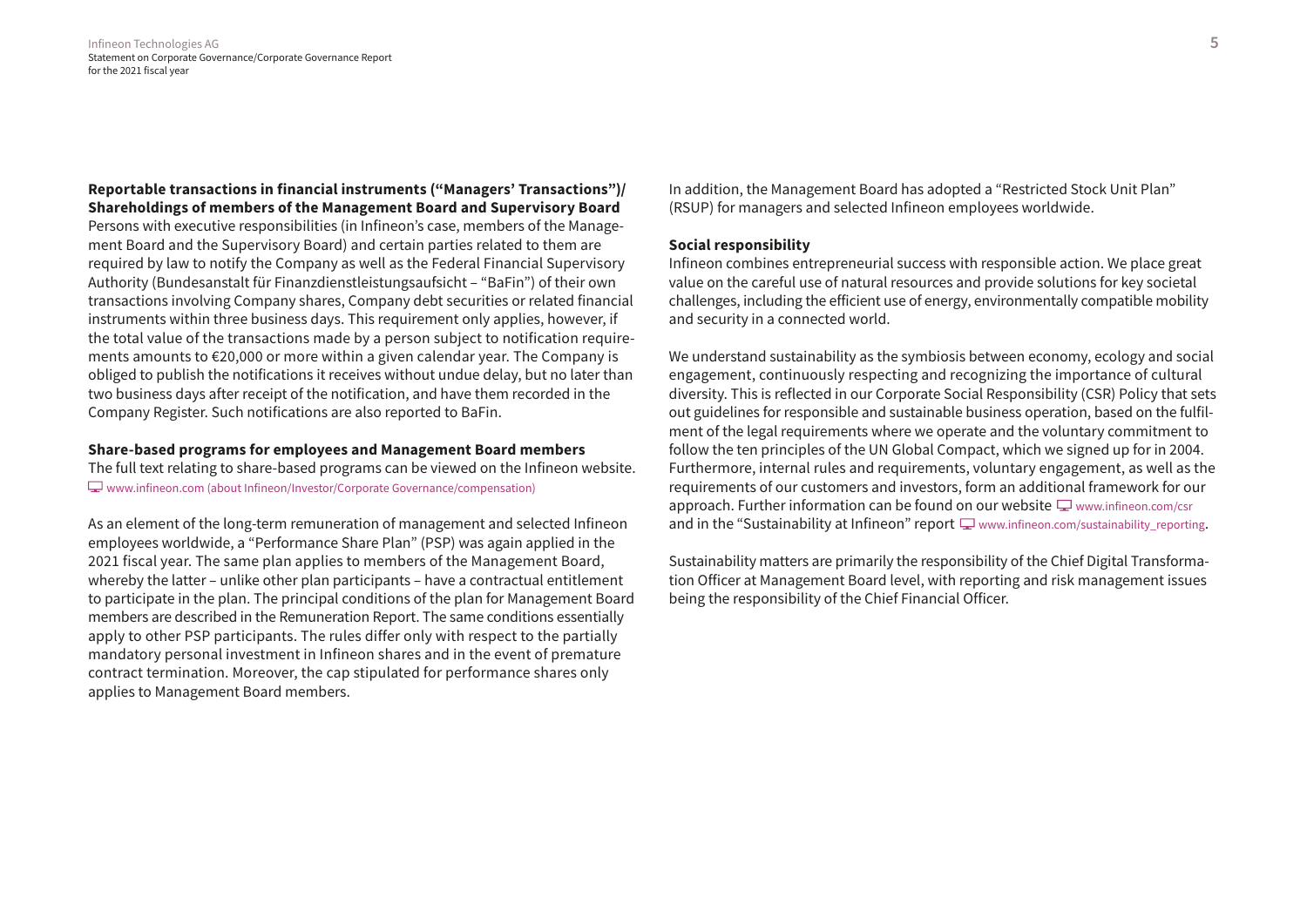**Reportable transactions in financial instruments ("Managers' Transactions")/ Shareholdings of members of the Management Board and Supervisory Board** Persons with executive responsibilities (in Infineon's case, members of the Management Board and the Supervisory Board) and certain parties related to them are required by law to notify the Company as well as the Federal Financial Supervisory Authority (Bundesanstalt für Finanzdienstleistungsaufsicht – "BaFin") of their own transactions involving Company shares, Company debt securities or related financial instruments within three business days. This requirement only applies, however, if the total value of the transactions made by a person subject to notification requirements amounts to €20,000 or more within a given calendar year. The Company is obliged to publish the notifications it receives without undue delay, but no later than two business days after receipt of the notification, and have them recorded in the Company Register. Such notifications are also reported to BaFin.

# **Share-based programs for employees and Management Board members**

The full text relating to share-based programs can be viewed on the Infineon website. [www.infineon.com \(about Infineon/Investor/Corporate Governance/compensation\)](https://www.infineon.com/cms/en/about-infineon/investor/corporate-governance/#equity-based-compensation)

As an element of the long-term remuneration of management and selected Infineon employees worldwide, a "Performance Share Plan" (PSP) was again applied in the 2021 fiscal year. The same plan applies to members of the Management Board, whereby the latter – unlike other plan participants – have a contractual entitlement to participate in the plan. The principal conditions of the plan for Management Board members are described in the Remuneration Report. The same conditions essentially apply to other PSP participants. The rules differ only with respect to the partially mandatory personal investment in Infineon shares and in the event of premature contract termination. Moreover, the cap stipulated for performance shares only applies to Management Board members.

In addition, the Management Board has adopted a "Restricted Stock Unit Plan" (RSUP) for managers and selected Infineon employees worldwide.

# **Social responsibility**

Infineon combines entrepreneurial success with responsible action. We place great value on the careful use of natural resources and provide solutions for key societal challenges, including the efficient use of energy, environmentally compatible mobility and security in a connected world.

We understand sustainability as the symbiosis between economy, ecology and social engagement, continuously respecting and recognizing the importance of cultural diversity. This is reflected in our Corporate Social Responsibility (CSR) Policy that sets out guidelines for responsible and sustainable business operation, based on the fulfilment of the legal requirements where we operate and the voluntary commitment to follow the ten principles of the UN Global Compact, which we signed up for in 2004. Furthermore, internal rules and requirements, voluntary engagement, as well as the requirements of our customers and investors, form an additional framework for our approach. Further information can be found on our website  $\Box$  [www.infineon.com/csr](http://www.infineon.com/csr) and in the "Sustainability at Infineon" report  $\Box$  www.infineon.com/sustainability reporting.

Sustainability matters are primarily the responsibility of the Chief Digital Transformation Officer at Management Board level, with reporting and risk management issues being the responsibility of the Chief Financial Officer.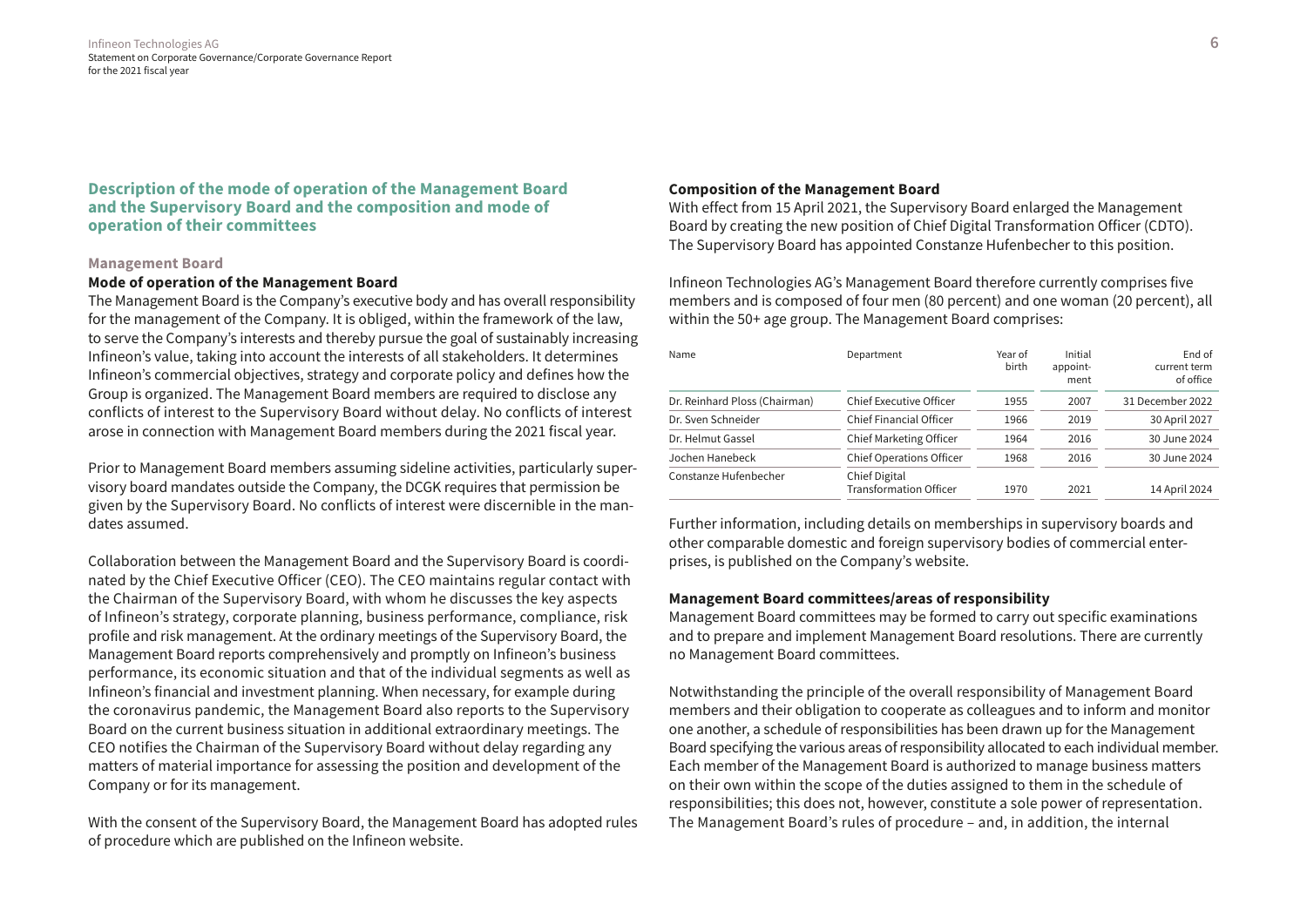**Description of the mode of operation of the Management Board and the Supervisory Board and the composition and mode of operation of their committees**

# **Management Board**

# **Mode of operation of the Management Board**

The Management Board is the Company's executive body and has overall responsibility for the management of the Company. It is obliged, within the framework of the law, to serve the Company's interests and thereby pursue the goal of sustainably increasing Infineon's value, taking into account the interests of all stakeholders. It determines Infineon's commercial objectives, strategy and corporate policy and defines how the Group is organized. The Management Board members are required to disclose any conflicts of interest to the Supervisory Board without delay. No conflicts of interest arose in connection with Management Board members during the 2021 fiscal year.

Prior to Management Board members assuming sideline activities, particularly supervisory board mandates outside the Company, the DCGK requires that permission be given by the Supervisory Board. No conflicts of interest were discernible in the mandates assumed.

Collaboration between the Management Board and the Supervisory Board is coordinated by the Chief Executive Officer (CEO). The CEO maintains regular contact with the Chairman of the Supervisory Board, with whom he discusses the key aspects of Infineon's strategy, corporate planning, business performance, compliance, risk profile and risk management. At the ordinary meetings of the Supervisory Board, the Management Board reports comprehensively and promptly on Infineon's business performance, its economic situation and that of the individual segments as well as Infineon's financial and investment planning. When necessary, for example during the coronavirus pandemic, the Management Board also reports to the Supervisory Board on the current business situation in additional extraordinary meetings. The CEO notifies the Chairman of the Supervisory Board without delay regarding any matters of material importance for assessing the position and development of the Company or for its management.

With the consent of the Supervisory Board, the Management Board has adopted rules of procedure which are published on the Infineon website.

#### **Composition of the Management Board**

With effect from 15 April 2021, the Supervisory Board enlarged the Management Board by creating the new position of Chief Digital Transformation Officer (CDTO). The Supervisory Board has appointed Constanze Hufenbecher to this position.

Infineon Technologies AG's Management Board therefore currently comprises five members and is composed of four men (80 percent) and one woman (20 percent), all within the 50+ age group. The Management Board comprises:

| Name                          | Department                                             | Year of<br>birth | Initial<br>appoint-<br>ment | End of<br>current term<br>of office |  |
|-------------------------------|--------------------------------------------------------|------------------|-----------------------------|-------------------------------------|--|
| Dr. Reinhard Ploss (Chairman) | Chief Executive Officer                                | 1955             | 2007                        | 31 December 2022                    |  |
| Dr. Sven Schneider            | Chief Financial Officer                                | 1966             | 2019                        | 30 April 2027                       |  |
| Dr. Helmut Gassel             | Chief Marketing Officer                                | 1964             | 2016                        | 30 June 2024                        |  |
| Jochen Hanebeck               | <b>Chief Operations Officer</b>                        | 1968             | 2016                        | 30 June 2024                        |  |
| Constanze Hufenbecher         | Chief Digital<br><b>Transformation Officer</b><br>1970 |                  | 2021                        | 14 April 2024                       |  |

Further information, including details on memberships in supervisory boards and other comparable domestic and foreign supervisory bodies of commercial enterprises, is published on the Company's website.

# **Management Board committees/areas of responsibility**

Management Board committees may be formed to carry out specific examinations and to prepare and implement Management Board resolutions. There are currently no Management Board committees.

Notwithstanding the principle of the overall responsibility of Management Board members and their obligation to cooperate as colleagues and to inform and monitor one another, a schedule of responsibilities has been drawn up for the Management Board specifying the various areas of responsibility allocated to each individual member. Each member of the Management Board is authorized to manage business matters on their own within the scope of the duties assigned to them in the schedule of responsibilities; this does not, however, constitute a sole power of representation. The Management Board's rules of procedure – and, in addition, the internal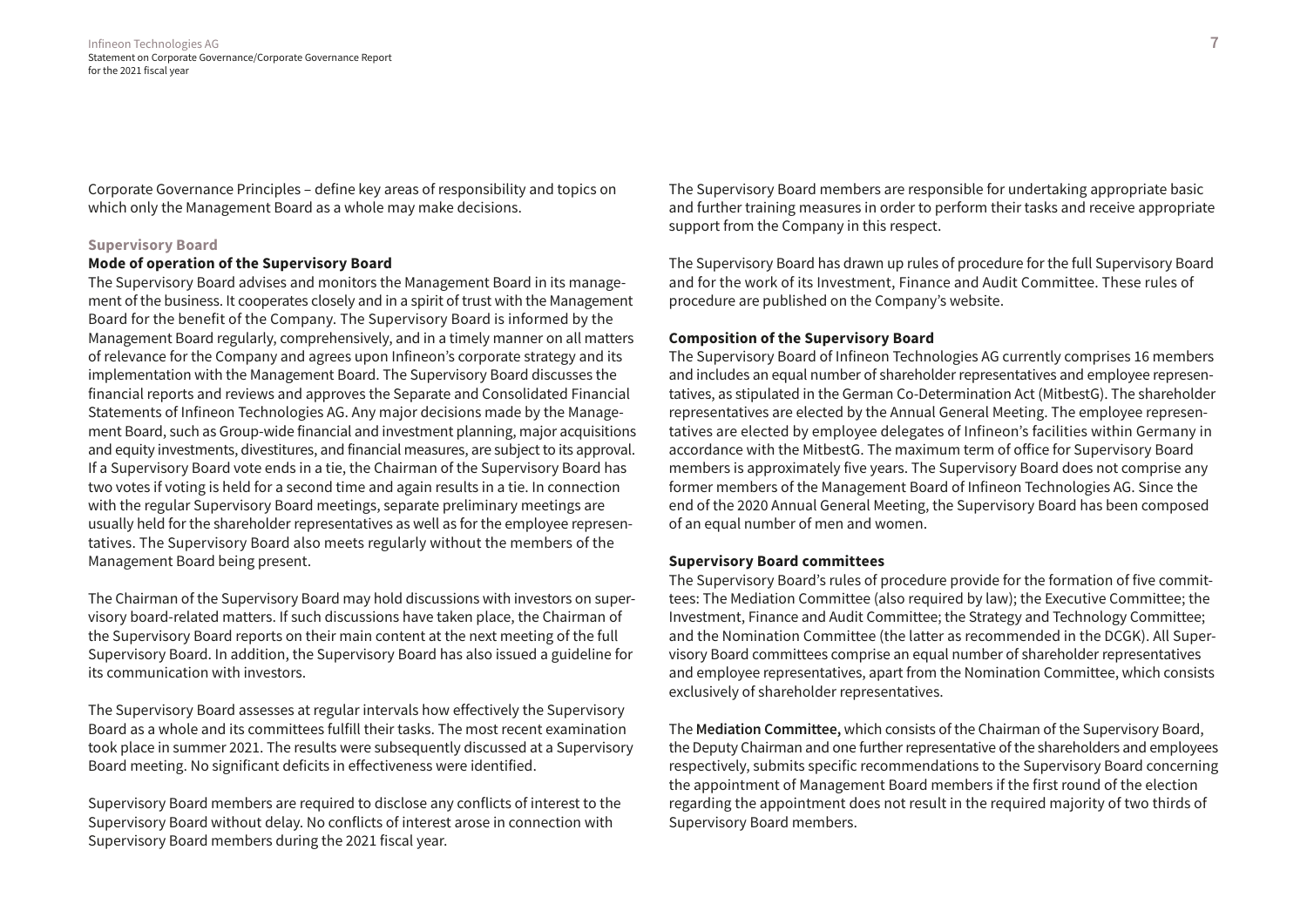Infineon Technologies AG **7** Statement on Corporate Governance/Corporate Governance Report for the 2021 fiscal year

Corporate Governance Principles – define key areas of responsibility and topics on which only the Management Board as a whole may make decisions.

#### **Supervisory Board**

# **Mode of operation of the Supervisory Board**

The Supervisory Board advises and monitors the Management Board in its management of the business. It cooperates closely and in a spirit of trust with the Management Board for the benefit of the Company. The Supervisory Board is informed by the Management Board regularly, comprehensively, and in a timely manner on all matters of relevance for the Company and agrees upon Infineon's corporate strategy and its implementation with the Management Board. The Supervisory Board discusses the financial reports and reviews and approves the Separate and Consolidated Financial Statements of Infineon Technologies AG. Any major decisions made by the Management Board, such as Group-wide financial and investment planning, major acquisitions and equity investments, divestitures, and financial measures, are subject to its approval. If a Supervisory Board vote ends in a tie, the Chairman of the Supervisory Board has two votes if voting is held for a second time and again results in a tie. In connection with the regular Supervisory Board meetings, separate preliminary meetings are usually held for the shareholder representatives as well as for the employee representatives. The Supervisory Board also meets regularly without the members of the Management Board being present.

The Chairman of the Supervisory Board may hold discussions with investors on supervisory board-related matters. If such discussions have taken place, the Chairman of the Supervisory Board reports on their main content at the next meeting of the full Supervisory Board. In addition, the Supervisory Board has also issued a guideline for its communication with investors.

The Supervisory Board assesses at regular intervals how effectively the Supervisory Board as a whole and its committees fulfill their tasks. The most recent examination took place in summer 2021. The results were subsequently discussed at a Supervisory Board meeting. No significant deficits in effectiveness were identified.

Supervisory Board members are required to disclose any conflicts of interest to the Supervisory Board without delay. No conflicts of interest arose in connection with Supervisory Board members during the 2021 fiscal year.

The Supervisory Board members are responsible for undertaking appropriate basic and further training measures in order to perform their tasks and receive appropriate support from the Company in this respect.

The Supervisory Board has drawn up rules of procedure for the full Supervisory Board and for the work of its Investment, Finance and Audit Committee. These rules of procedure are published on the Company's website.

# **Composition of the Supervisory Board**

The Supervisory Board of Infineon Technologies AG currently comprises 16 members and includes an equal number of shareholder representatives and employee representatives, as stipulated in the German Co-Determination Act (MitbestG). The shareholder representatives are elected by the Annual General Meeting. The employee representatives are elected by employee delegates of Infineon's facilities within Germany in accordance with the MitbestG. The maximum term of office for Supervisory Board members is approximately five years. The Supervisory Board does not comprise any former members of the Management Board of Infineon Technologies AG. Since the end of the 2020 Annual General Meeting, the Supervisory Board has been composed of an equal number of men and women.

#### **Supervisory Board committees**

The Supervisory Board's rules of procedure provide for the formation of five committees: The Mediation Committee (also required by law); the Executive Committee; the Investment, Finance and Audit Committee; the Strategy and Technology Committee; and the Nomination Committee (the latter as recommended in the DCGK). All Supervisory Board committees comprise an equal number of shareholder representatives and employee representatives, apart from the Nomination Committee, which consists exclusively of shareholder representatives.

The **Mediation Committee,** which consists of the Chairman of the Supervisory Board, the Deputy Chairman and one further representative of the shareholders and employees respectively, submits specific recommendations to the Supervisory Board concerning the appointment of Management Board members if the first round of the election regarding the appointment does not result in the required majority of two thirds of Supervisory Board members.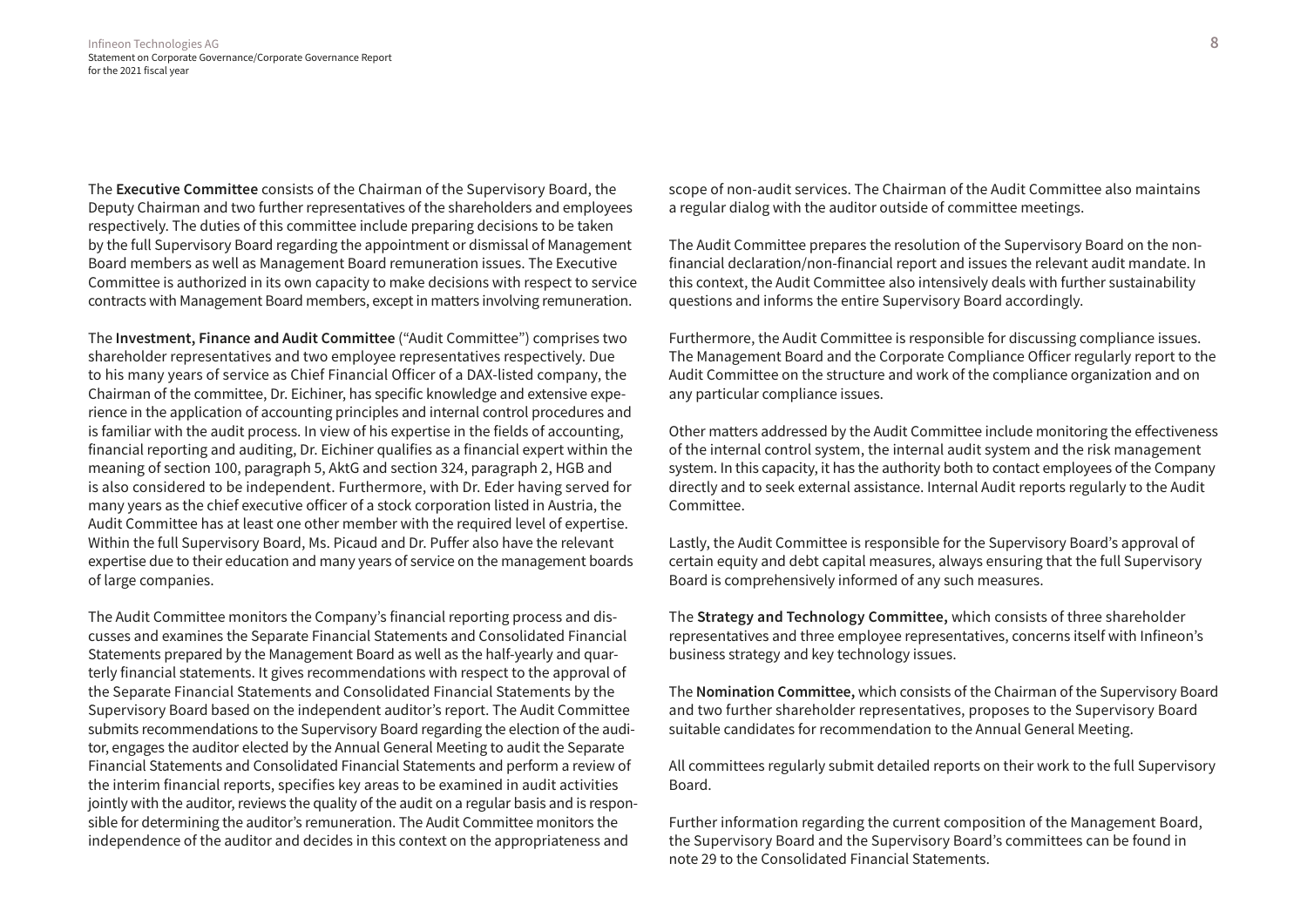The **Executive Committee** consists of the Chairman of the Supervisory Board, the Deputy Chairman and two further representatives of the shareholders and employees respectively. The duties of this committee include preparing decisions to be taken by the full Supervisory Board regarding the appointment or dismissal of Management Board members as well as Management Board remuneration issues. The Executive Committee is authorized in its own capacity to make decisions with respect to service contracts with Management Board members, except in matters involving remuneration.

The **Investment, Finance and Audit Committee** ("Audit Committee") comprises two shareholder representatives and two employee representatives respectively. Due to his many years of service as Chief Financial Officer of a DAX-listed company, the Chairman of the committee, Dr. Eichiner, has specific knowledge and extensive experience in the application of accounting principles and internal control procedures and is familiar with the audit process. In view of his expertise in the fields of accounting, financial reporting and auditing, Dr. Eichiner qualifies as a financial expert within the meaning of section 100, paragraph 5, AktG and section 324, paragraph 2, HGB and is also considered to be independent. Furthermore, with Dr. Eder having served for many years as the chief executive officer of a stock corporation listed in Austria, the Audit Committee has at least one other member with the required level of expertise. Within the full Supervisory Board, Ms. Picaud and Dr. Puffer also have the relevant expertise due to their education and many years of service on the management boards of large companies.

The Audit Committee monitors the Company's financial reporting process and discusses and examines the Separate Financial Statements and Consolidated Financial Statements prepared by the Management Board as well as the half-yearly and quarterly financial statements. It gives recommendations with respect to the approval of the Separate Financial Statements and Consolidated Financial Statements by the Supervisory Board based on the independent auditor's report. The Audit Committee submits recommendations to the Supervisory Board regarding the election of the auditor, engages the auditor elected by the Annual General Meeting to audit the Separate Financial Statements and Consolidated Financial Statements and perform a review of the interim financial reports, specifies key areas to be examined in audit activities jointly with the auditor, reviews the quality of the audit on a regular basis and is responsible for determining the auditor's remuneration. The Audit Committee monitors the independence of the auditor and decides in this context on the appropriateness and

scope of non-audit services. The Chairman of the Audit Committee also maintains a regular dialog with the auditor outside of committee meetings.

The Audit Committee prepares the resolution of the Supervisory Board on the nonfinancial declaration/non-financial report and issues the relevant audit mandate. In this context, the Audit Committee also intensively deals with further sustainability questions and informs the entire Supervisory Board accordingly.

Furthermore, the Audit Committee is responsible for discussing compliance issues. The Management Board and the Corporate Compliance Officer regularly report to the Audit Committee on the structure and work of the compliance organization and on any particular compliance issues.

Other matters addressed by the Audit Committee include monitoring the effectiveness of the internal control system, the internal audit system and the risk management system. In this capacity, it has the authority both to contact employees of the Company directly and to seek external assistance. Internal Audit reports regularly to the Audit Committee.

Lastly, the Audit Committee is responsible for the Supervisory Board's approval of certain equity and debt capital measures, always ensuring that the full Supervisory Board is comprehensively informed of any such measures.

The **Strategy and Technology Committee,** which consists of three shareholder representatives and three employee representatives, concerns itself with Infineon's business strategy and key technology issues.

The **Nomination Committee,** which consists of the Chairman of the Supervisory Board and two further shareholder representatives, proposes to the Supervisory Board suitable candidates for recommendation to the Annual General Meeting.

All committees regularly submit detailed reports on their work to the full Supervisory Board.

Further information regarding the current composition of the Management Board, the Supervisory Board and the Supervisory Board's committees can be found in note 29 to the Consolidated Financial Statements.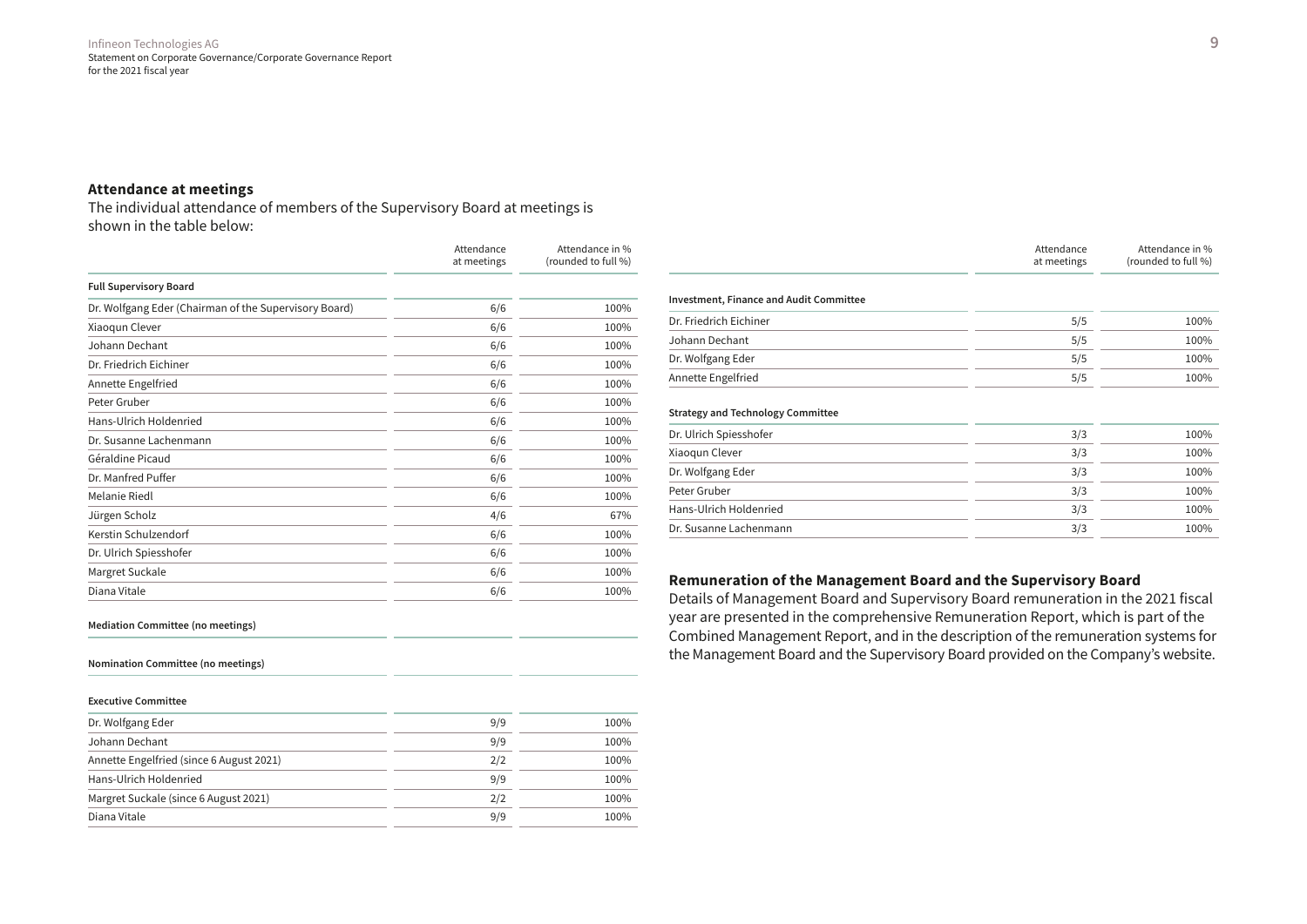# **Attendance at meetings**

The individual attendance of members of the Supervisory Board at meetings is shown in the table below:

|                                                       | Attendance<br>at meetings | Attendance in %<br>(rounded to full %) |
|-------------------------------------------------------|---------------------------|----------------------------------------|
| <b>Full Supervisory Board</b>                         |                           |                                        |
| Dr. Wolfgang Eder (Chairman of the Supervisory Board) | 6/6                       | 100%                                   |
| Xiaoqun Clever                                        | 6/6                       | 100%                                   |
| Johann Dechant                                        | 6/6                       | 100%                                   |
| Dr. Friedrich Eichiner                                | 6/6                       | 100%                                   |
| Annette Engelfried                                    | 6/6                       | 100%                                   |
| Peter Gruber                                          | 6/6                       | 100%                                   |
| Hans-Ulrich Holdenried                                | 6/6                       | 100%                                   |
| Dr. Susanne Lachenmann                                | 6/6                       | 100%                                   |
| Géraldine Picaud                                      | 6/6                       | 100%                                   |
| Dr. Manfred Puffer                                    | 6/6                       | 100%                                   |
| Melanie Riedl                                         | 6/6                       | 100%                                   |
| Jürgen Scholz                                         | 4/6                       | 67%                                    |
| Kerstin Schulzendorf                                  | 6/6                       | 100%                                   |
| Dr. Ulrich Spiesshofer                                | 6/6                       | 100%                                   |
| Margret Suckale                                       | 6/6                       | 100%                                   |
| Diana Vitale                                          | 6/6                       | 100%                                   |

Attendance at meetings Attendance in % (rounded to full %) **Investment, Finance and Audit Committee** Dr. Friedrich Eichiner 5/5 100% Johann Dechant 5/5 100% Dr. Wolfgang Eder 6. The state of the state of the state of the state of the state of the state of the state of the state of the state of the state of the state of the state of the state of the state of the state of the st Annette Engelfried 100% and the Engelfried 100% of the Second 100% of the Second 100% of the Second 100% of the Second 100% of the Second 100% of the Second 100% of the Second 100% of the Second 100% of the Second 100% of **Strategy and Technology Committee** Dr. Ulrich Spiesshofer 3/3 100% Xiaoqun Clever 100% and 200 million 200 million 3/3 100 million 3/3 100 million 3/3 100 million 3/3 100 million 3/3 100 million 3/3 100 million 3/3 100 million 3/3 100 million 3/3 100 million 3/3 100 million 3/3 100 millio Dr. Wolfgang Eder 2008 100% and 2008 100% and 2008 100% and 2008 100% and 2008 100% and 2008 100% and 2008 100 Peter Gruber 3/3 100% (100%) and the set of the set of the set of the set of the set of the set of the set of the set of the set of the set of the set of the set of the set of the set of the set of the set of the set of th

# **Remuneration of the Management Board and the Supervisory Board**

Details of Management Board and Supervisory Board remuneration in the 2021 fiscal year are presented in the comprehensive Remuneration Report, which is part of the Combined Management Report, and in the description of the remuneration systems for the Management Board and the Supervisory Board provided on the Company's website.

Hans-Ulrich Holdenried 200% and the state of the state 3/3 100% and 100% Dr. Susanne Lachenmann 3/3 100%

#### **Mediation Committee (no meetings)**

**Nomination Committee (no meetings)**

#### **Executive Committee**

| Dr. Wolfgang Eder                        | 9/9 | 100% |
|------------------------------------------|-----|------|
| Johann Dechant                           | 9/9 | 100% |
| Annette Engelfried (since 6 August 2021) | 2/2 | 100% |
| Hans-Ulrich Holdenried                   | 9/9 | 100% |
| Margret Suckale (since 6 August 2021)    | 2/2 | 100% |
| Diana Vitale                             | 9/9 | 100% |
|                                          |     |      |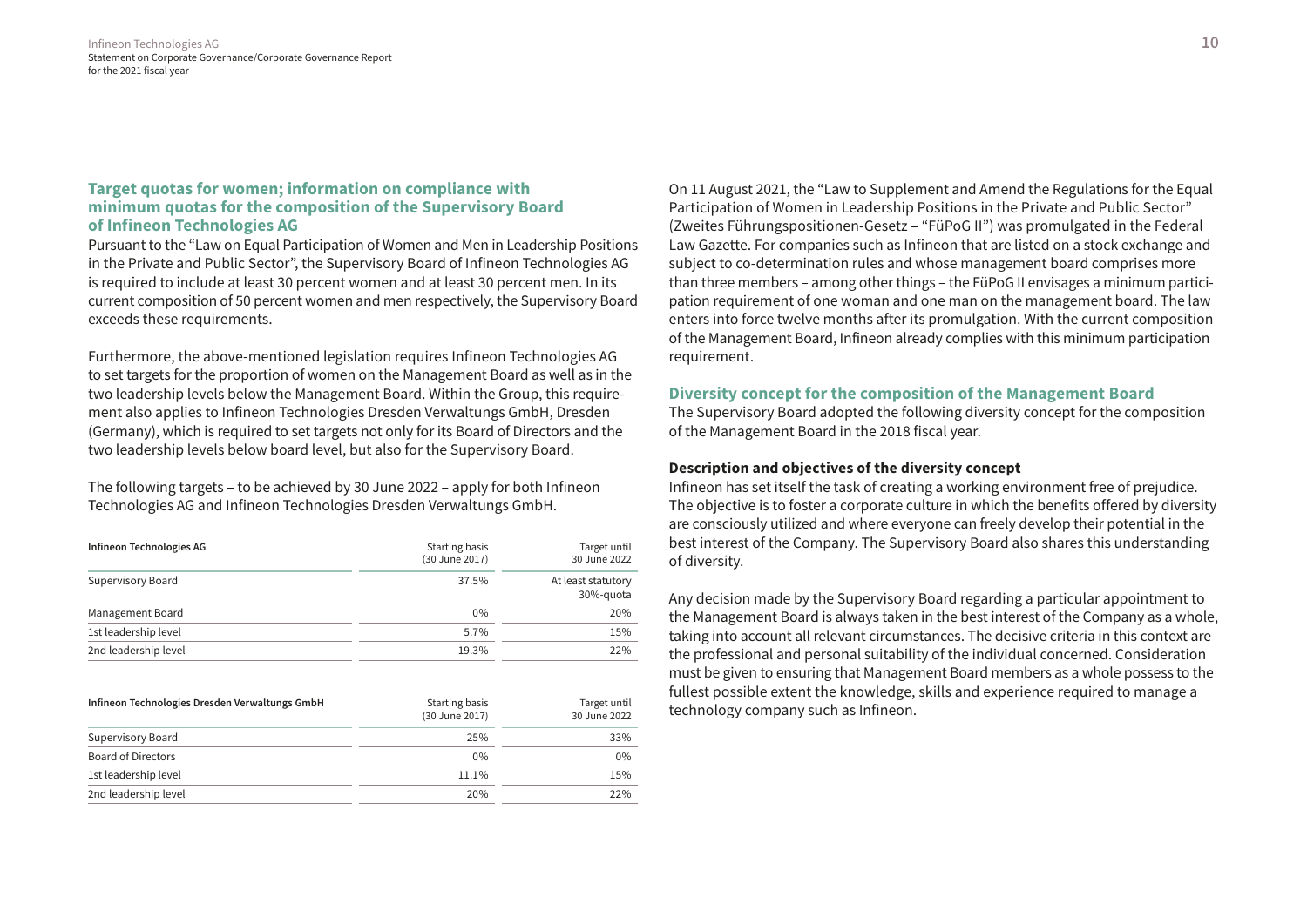# **Target quotas for women; information on compliance with minimum quotas for the composition of the Supervisory Board of Infineon Technologies AG**

Pursuant to the "Law on Equal Participation of Women and Men in Leadership Positions in the Private and Public Sector", the Supervisory Board of Infineon Technologies AG is required to include at least 30 percent women and at least 30 percent men. In its current composition of 50 percent women and men respectively, the Supervisory Board exceeds these requirements.

Furthermore, the above-mentioned legislation requires Infineon Technologies AG to set targets for the proportion of women on the Management Board as well as in the two leadership levels below the Management Board. Within the Group, this requirement also applies to Infineon Technologies Dresden Verwaltungs GmbH, Dresden (Germany), which is required to set targets not only for its Board of Directors and the two leadership levels below board level, but also for the Supervisory Board.

The following targets – to be achieved by 30 June 2022 – apply for both Infineon Technologies AG and Infineon Technologies Dresden Verwaltungs GmbH.

| Infineon Technologies AG | Starting basis<br>(30 June 2017) | Target until<br>30 June 2022    |
|--------------------------|----------------------------------|---------------------------------|
| Supervisory Board        | 37.5%                            | At least statutory<br>30%-guota |
| Management Board         | $0\%$                            | 20%                             |
| 1st leadership level     | 5.7%                             | 15%                             |
| 2nd leadership level     | 19.3%                            | 22%                             |

| Infineon Technologies Dresden Verwaltungs GmbH | Starting basis<br>(30 June 2017) | Target until<br>30 June 2022 |
|------------------------------------------------|----------------------------------|------------------------------|
| Supervisory Board                              | 25%                              | 33%                          |
| <b>Board of Directors</b>                      | $0\%$                            | $0\%$                        |
| 1st leadership level                           | 11.1%                            | 15%                          |
| 2nd leadership level                           | 20%                              | 22%                          |

On 11 August 2021, the "Law to Supplement and Amend the Regulations for the Equal Participation of Women in Leadership Positions in the Private and Public Sector" (Zweites Führungspositionen-Gesetz – "FüPoG II") was promulgated in the Federal Law Gazette. For companies such as Infineon that are listed on a stock exchange and subject to co-determination rules and whose management board comprises more than three members – among other things – the FüPoG II envisages a minimum participation requirement of one woman and one man on the management board. The law enters into force twelve months after its promulgation. With the current composition of the Management Board, Infineon already complies with this minimum participation requirement.

# **Diversity concept for the composition of the Management Board**

The Supervisory Board adopted the following diversity concept for the composition of the Management Board in the 2018 fiscal year.

#### **Description and objectives of the diversity concept**

Infineon has set itself the task of creating a working environment free of prejudice. The objective is to foster a corporate culture in which the benefits offered by diversity are consciously utilized and where everyone can freely develop their potential in the best interest of the Company. The Supervisory Board also shares this understanding of diversity.

Any decision made by the Supervisory Board regarding a particular appointment to the Management Board is always taken in the best interest of the Company as a whole, taking into account all relevant circumstances. The decisive criteria in this context are the professional and personal suitability of the individual concerned. Consideration must be given to ensuring that Management Board members as a whole possess to the fullest possible extent the knowledge, skills and experience required to manage a technology company such as Infineon.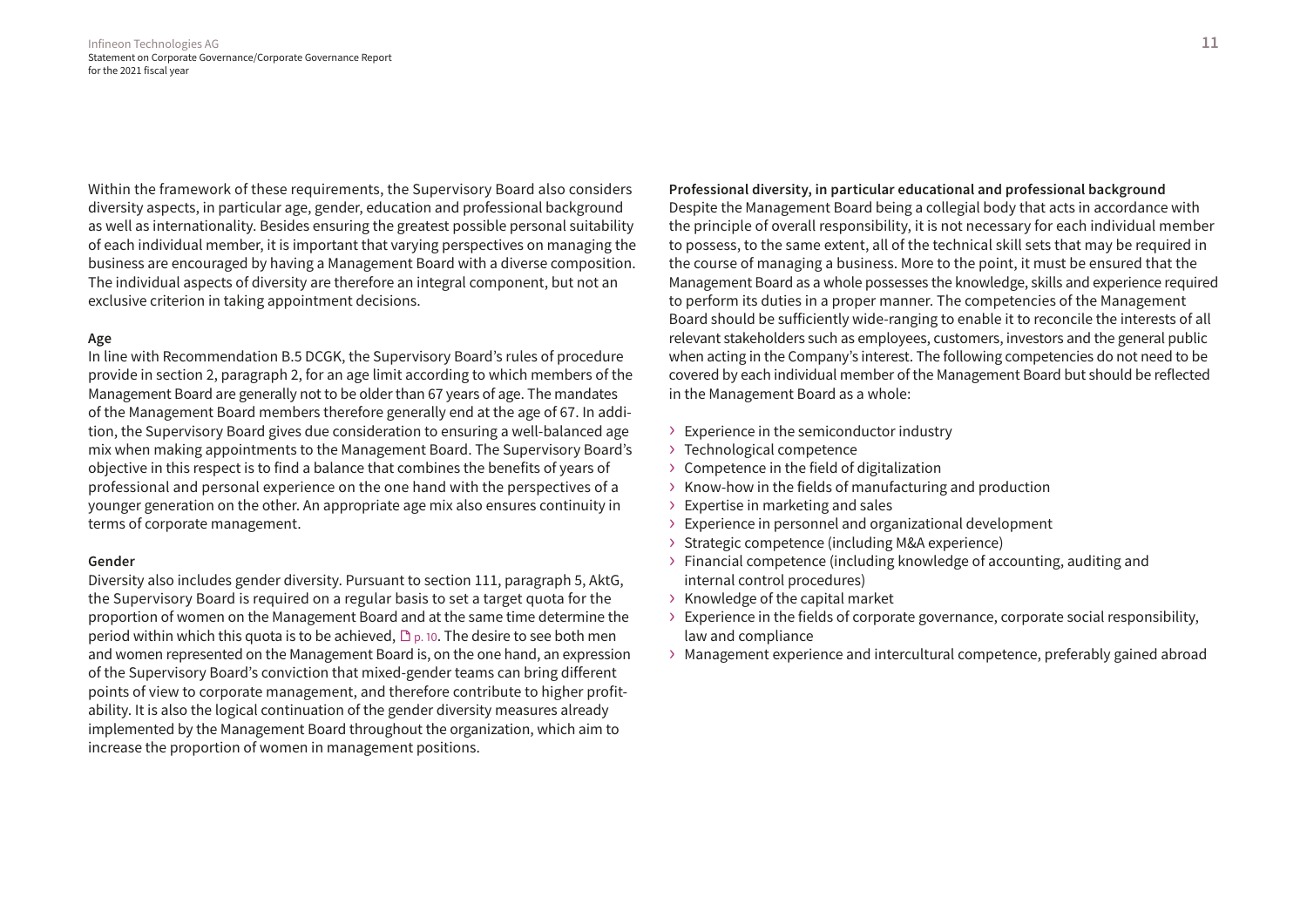Within the framework of these requirements, the Supervisory Board also considers diversity aspects, in particular age, gender, education and professional background as well as internationality. Besides ensuring the greatest possible personal suitability of each individual member, it is important that varying perspectives on managing the business are encouraged by having a Management Board with a diverse composition. The individual aspects of diversity are therefore an integral component, but not an exclusive criterion in taking appointment decisions.

#### **Age**

In line with Recommendation B.5 DCGK, the Supervisory Board's rules of procedure provide in section 2, paragraph 2, for an age limit according to which members of the Management Board are generally not to be older than 67 years of age. The mandates of the Management Board members therefore generally end at the age of 67. In addition, the Supervisory Board gives due consideration to ensuring a well-balanced age mix when making appointments to the Management Board. The Supervisory Board's objective in this respect is to find a balance that combines the benefits of years of professional and personal experience on the one hand with the perspectives of a younger generation on the other. An appropriate age mix also ensures continuity in terms of corporate management.

#### **Gender**

Diversity also includes gender diversity. Pursuant to section 111, paragraph 5, AktG, the Supervisory Board is required on a regular basis to set a target quota for the proportion of women on the Management Board and at the same time determine the period within which this quota is to be achieved,  $\mathbb{D}_{p}$  10. The desire to see both men and women represented on the Management Board is, on the one hand, an expression of the Supervisory Board's conviction that mixed-gender teams can bring different points of view to corporate management, and therefore contribute to higher profitability. It is also the logical continuation of the gender diversity measures already implemented by the Management Board throughout the organization, which aim to increase the proportion of women in management positions.

**Professional diversity, in particular educational and professional background** Despite the Management Board being a collegial body that acts in accordance with the principle of overall responsibility, it is not necessary for each individual member to possess, to the same extent, all of the technical skill sets that may be required in the course of managing a business. More to the point, it must be ensured that the Management Board as a whole possesses the knowledge, skills and experience required to perform its duties in a proper manner. The competencies of the Management Board should be sufficiently wide-ranging to enable it to reconcile the interests of all relevant stakeholders such as employees, customers, investors and the general public when acting in the Company's interest. The following competencies do not need to be covered by each individual member of the Management Board but should be reflected in the Management Board as a whole:

- › Experience in the semiconductor industry
- › Technological competence
- › Competence in the field of digitalization
- › Know-how in the fields of manufacturing and production
- › Expertise in marketing and sales
- › Experience in personnel and organizational development
- › Strategic competence (including M&A experience)
- › Financial competence (including knowledge of accounting, auditing and internal control procedures)
- › Knowledge of the capital market
- › Experience in the fields of corporate governance, corporate social responsibility, law and compliance
- › Management experience and intercultural competence, preferably gained abroad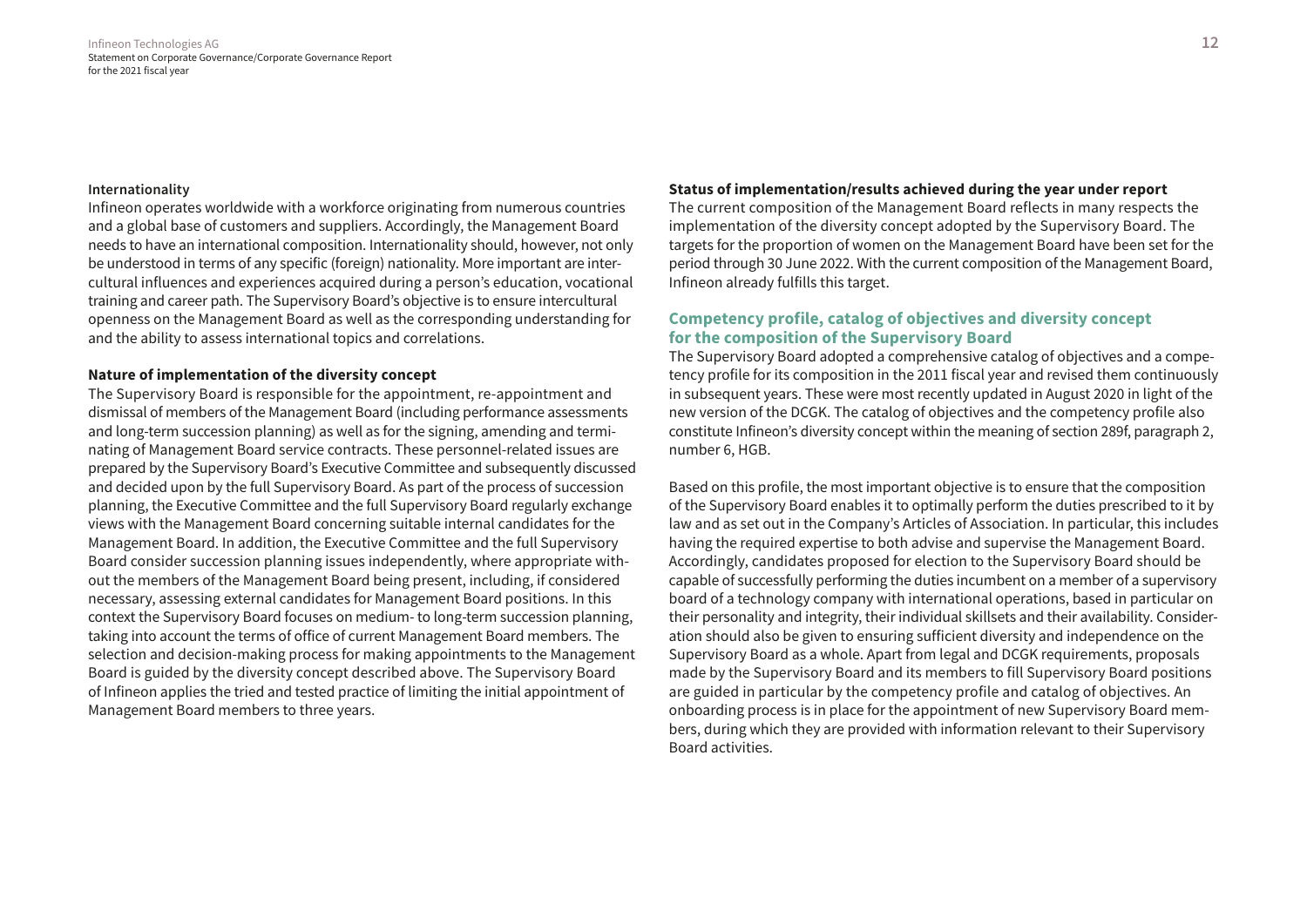#### **Internationality**

Infineon operates worldwide with a workforce originating from numerous countries and a global base of customers and suppliers. Accordingly, the Management Board needs to have an international composition. Internationality should, however, not only be understood in terms of any specific (foreign) nationality. More important are intercultural influences and experiences acquired during a person's education, vocational training and career path. The Supervisory Board's objective is to ensure intercultural openness on the Management Board as well as the corresponding understanding for and the ability to assess international topics and correlations.

# **Nature of implementation of the diversity concept**

The Supervisory Board is responsible for the appointment, re-appointment and dismissal of members of the Management Board (including performance assessments and long-term succession planning) as well as for the signing, amending and terminating of Management Board service contracts. These personnel-related issues are prepared by the Supervisory Board's Executive Committee and subsequently discussed and decided upon by the full Supervisory Board. As part of the process of succession planning, the Executive Committee and the full Supervisory Board regularly exchange views with the Management Board concerning suitable internal candidates for the Management Board. In addition, the Executive Committee and the full Supervisory Board consider succession planning issues independently, where appropriate without the members of the Management Board being present, including, if considered necessary, assessing external candidates for Management Board positions. In this context the Supervisory Board focuses on medium- to long-term succession planning, taking into account the terms of office of current Management Board members. The selection and decision-making process for making appointments to the Management Board is guided by the diversity concept described above. The Supervisory Board of Infineon applies the tried and tested practice of limiting the initial appointment of Management Board members to three years.

#### **Status of implementation/results achieved during the year under report**

The current composition of the Management Board reflects in many respects the implementation of the diversity concept adopted by the Supervisory Board. The targets for the proportion of women on the Management Board have been set for the period through 30 June 2022. With the current composition of the Management Board, Infineon already fulfills this target.

# **Competency profile, catalog of objectives and diversity concept for the composition of the Supervisory Board**

The Supervisory Board adopted a comprehensive catalog of objectives and a competency profile for its composition in the 2011 fiscal year and revised them continuously in subsequent years. These were most recently updated in August 2020 in light of the new version of the DCGK. The catalog of objectives and the competency profile also constitute Infineon's diversity concept within the meaning of section 289f, paragraph 2, number 6, HGB.

Based on this profile, the most important objective is to ensure that the composition of the Supervisory Board enables it to optimally perform the duties prescribed to it by law and as set out in the Company's Articles of Association. In particular, this includes having the required expertise to both advise and supervise the Management Board. Accordingly, candidates proposed for election to the Supervisory Board should be capable of successfully performing the duties incumbent on a member of a supervisory board of a technology company with international operations, based in particular on their personality and integrity, their individual skillsets and their availability. Consideration should also be given to ensuring sufficient diversity and independence on the Supervisory Board as a whole. Apart from legal and DCGK requirements, proposals made by the Supervisory Board and its members to fill Supervisory Board positions are guided in particular by the competency profile and catalog of objectives. An onboarding process is in place for the appointment of new Supervisory Board members, during which they are provided with information relevant to their Supervisory Board activities.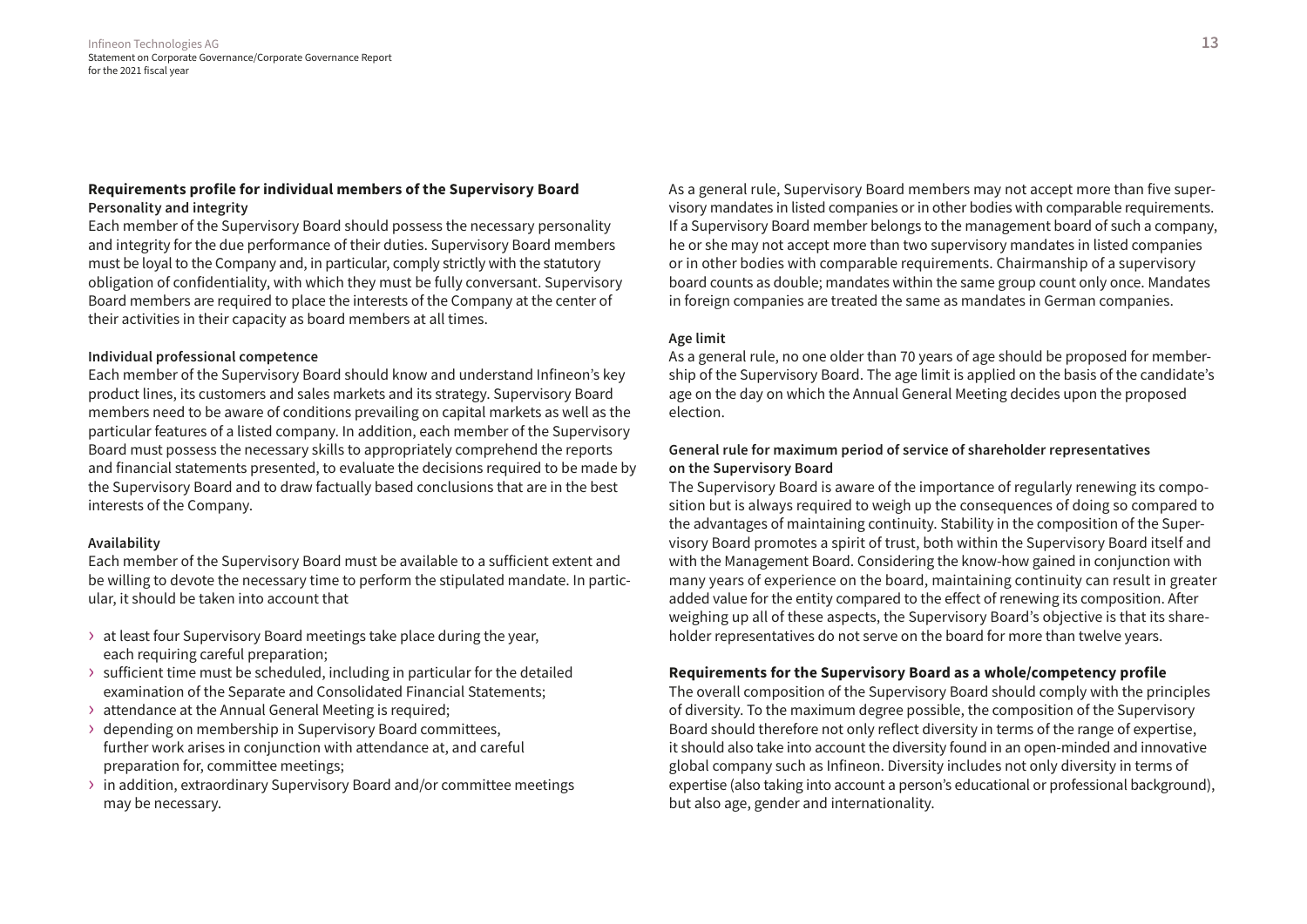# **Requirements profile for individual members of the Supervisory Board Personality and integrity**

Each member of the Supervisory Board should possess the necessary personality and integrity for the due performance of their duties. Supervisory Board members must be loyal to the Company and, in particular, comply strictly with the statutory obligation of confidentiality, with which they must be fully conversant. Supervisory Board members are required to place the interests of the Company at the center of their activities in their capacity as board members at all times.

# **Individual professional competence**

Each member of the Supervisory Board should know and understand Infineon's key product lines, its customers and sales markets and its strategy. Supervisory Board members need to be aware of conditions prevailing on capital markets as well as the particular features of a listed company. In addition, each member of the Supervisory Board must possess the necessary skills to appropriately comprehend the reports and financial statements presented, to evaluate the decisions required to be made by the Supervisory Board and to draw factually based conclusions that are in the best interests of the Company.

# **Availability**

Each member of the Supervisory Board must be available to a sufficient extent and be willing to devote the necessary time to perform the stipulated mandate. In particular, it should be taken into account that

- › at least four Supervisory Board meetings take place during the year, each requiring careful preparation;
- $\rightarrow$  sufficient time must be scheduled, including in particular for the detailed examination of the Separate and Consolidated Financial Statements;
- › attendance at the Annual General Meeting is required;
- › depending on membership in Supervisory Board committees, further work arises in conjunction with attendance at, and careful preparation for, committee meetings;
- › in addition, extraordinary Supervisory Board and/or committee meetings may be necessary.

As a general rule, Supervisory Board members may not accept more than five supervisory mandates in listed companies or in other bodies with comparable requirements. If a Supervisory Board member belongs to the management board of such a company, he or she may not accept more than two supervisory mandates in listed companies or in other bodies with comparable requirements. Chairmanship of a supervisory board counts as double; mandates within the same group count only once. Mandates in foreign companies are treated the same as mandates in German companies.

# **Age limit**

As a general rule, no one older than 70 years of age should be proposed for membership of the Supervisory Board. The age limit is applied on the basis of the candidate's age on the day on which the Annual General Meeting decides upon the proposed election.

# **General rule for maximum period of service of shareholder representatives on the Supervisory Board**

The Supervisory Board is aware of the importance of regularly renewing its composition but is always required to weigh up the consequences of doing so compared to the advantages of maintaining continuity. Stability in the composition of the Supervisory Board promotes a spirit of trust, both within the Supervisory Board itself and with the Management Board. Considering the know-how gained in conjunction with many years of experience on the board, maintaining continuity can result in greater added value for the entity compared to the effect of renewing its composition. After weighing up all of these aspects, the Supervisory Board's objective is that its shareholder representatives do not serve on the board for more than twelve years.

# **Requirements for the Supervisory Board as a whole/competency profile**

The overall composition of the Supervisory Board should comply with the principles of diversity. To the maximum degree possible, the composition of the Supervisory Board should therefore not only reflect diversity in terms of the range of expertise, it should also take into account the diversity found in an open-minded and innovative global company such as Infineon. Diversity includes not only diversity in terms of expertise (also taking into account a person's educational or professional background), but also age, gender and internationality.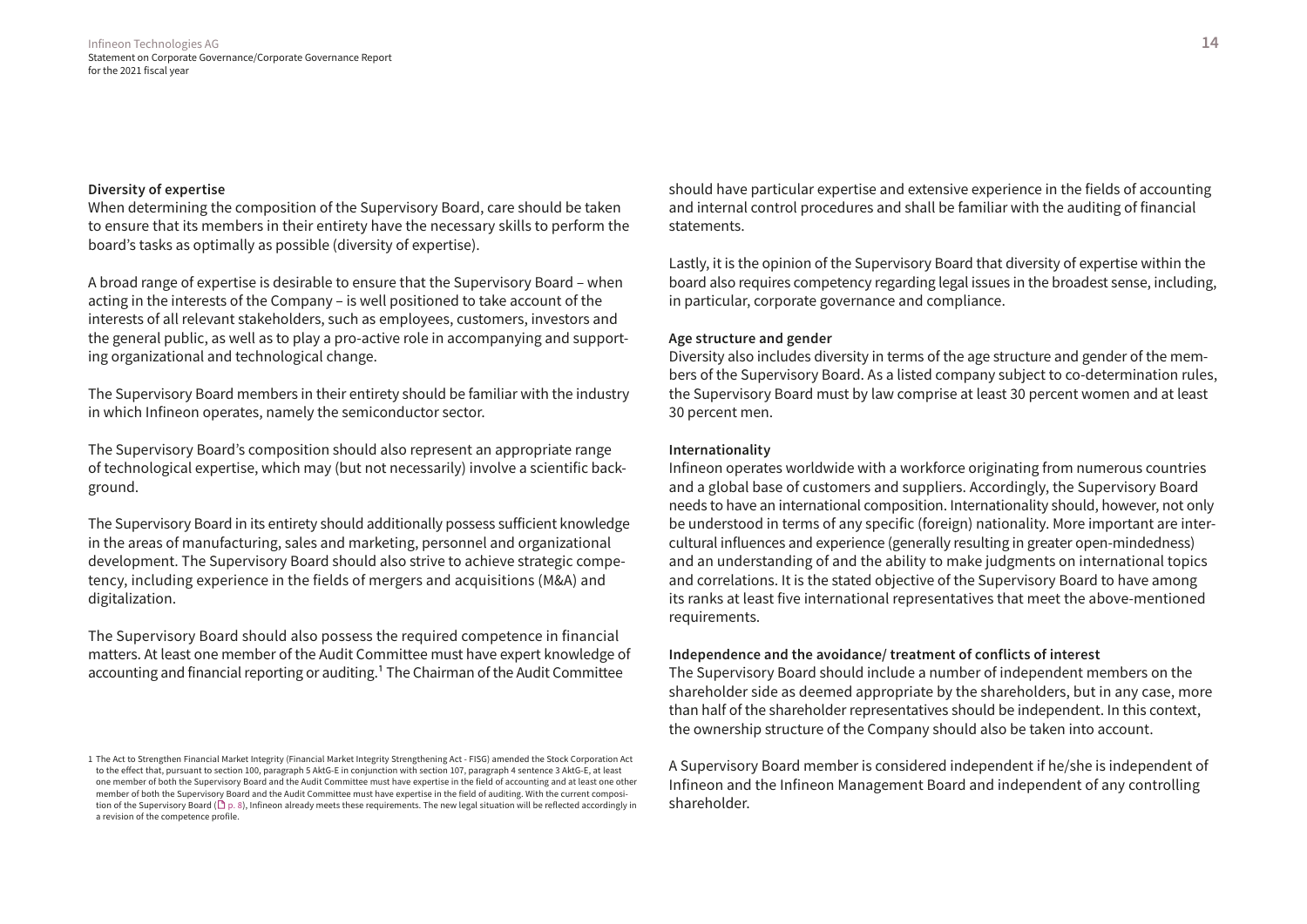#### **Diversity of expertise**

When determining the composition of the Supervisory Board, care should be taken to ensure that its members in their entirety have the necessary skills to perform the board's tasks as optimally as possible (diversity of expertise).

A broad range of expertise is desirable to ensure that the Supervisory Board – when acting in the interests of the Company – is well positioned to take account of the interests of all relevant stakeholders, such as employees, customers, investors and the general public, as well as to play a pro-active role in accompanying and supporting organizational and technological change.

The Supervisory Board members in their entirety should be familiar with the industry in which Infineon operates, namely the semiconductor sector.

The Supervisory Board's composition should also represent an appropriate range of technological expertise, which may (but not necessarily) involve a scientific background.

The Supervisory Board in its entirety should additionally possess sufficient knowledge in the areas of manufacturing, sales and marketing, personnel and organizational development. The Supervisory Board should also strive to achieve strategic competency, including experience in the fields of mergers and acquisitions (M&A) and digitalization.

The Supervisory Board should also possess the required competence in financial matters. At least one member of the Audit Committee must have expert knowledge of accounting and financial reporting or auditing.1 The Chairman of the Audit Committee

should have particular expertise and extensive experience in the fields of accounting and internal control procedures and shall be familiar with the auditing of financial statements.

Lastly, it is the opinion of the Supervisory Board that diversity of expertise within the board also requires competency regarding legal issues in the broadest sense, including, in particular, corporate governance and compliance.

#### **Age structure and gender**

Diversity also includes diversity in terms of the age structure and gender of the members of the Supervisory Board. As a listed company subject to co-determination rules, the Supervisory Board must by law comprise at least 30 percent women and at least 30 percent men.

# **Internationality**

Infineon operates worldwide with a workforce originating from numerous countries and a global base of customers and suppliers. Accordingly, the Supervisory Board needs to have an international composition. Internationality should, however, not only be understood in terms of any specific (foreign) nationality. More important are intercultural influences and experience (generally resulting in greater open-mindedness) and an understanding of and the ability to make judgments on international topics and correlations. It is the stated objective of the Supervisory Board to have among its ranks at least five international representatives that meet the above-mentioned requirements.

#### **Independence and the avoidance/ treatment of conflicts of interest**

The Supervisory Board should include a number of independent members on the shareholder side as deemed appropriate by the shareholders, but in any case, more than half of the shareholder representatives should be independent. In this context, the ownership structure of the Company should also be taken into account.

A Supervisory Board member is considered independent if he/she is independent of Infineon and the Infineon Management Board and independent of any controlling shareholder.

<sup>1</sup> The Act to Strengthen Financial Market Integrity (Financial Market Integrity Strengthening Act - FISG) amended the Stock Corporation Act to the effect that, pursuant to section 100, paragraph 5 AktG-E in conjunction with section 107, paragraph 4 sentence 3 AktG-E, at least one member of both the Supervisory Board and the Audit Committee must have expertise in the field of accounting and at least one other member of both the Supervisory Board and the Audit Committee must have expertise in the field of auditing. With the current composition of the Supervisory Board ( $\Box$  p. 8), Infineon already meets these requirements. The new legal situation will be reflected accordingly in a revision of the competence profile.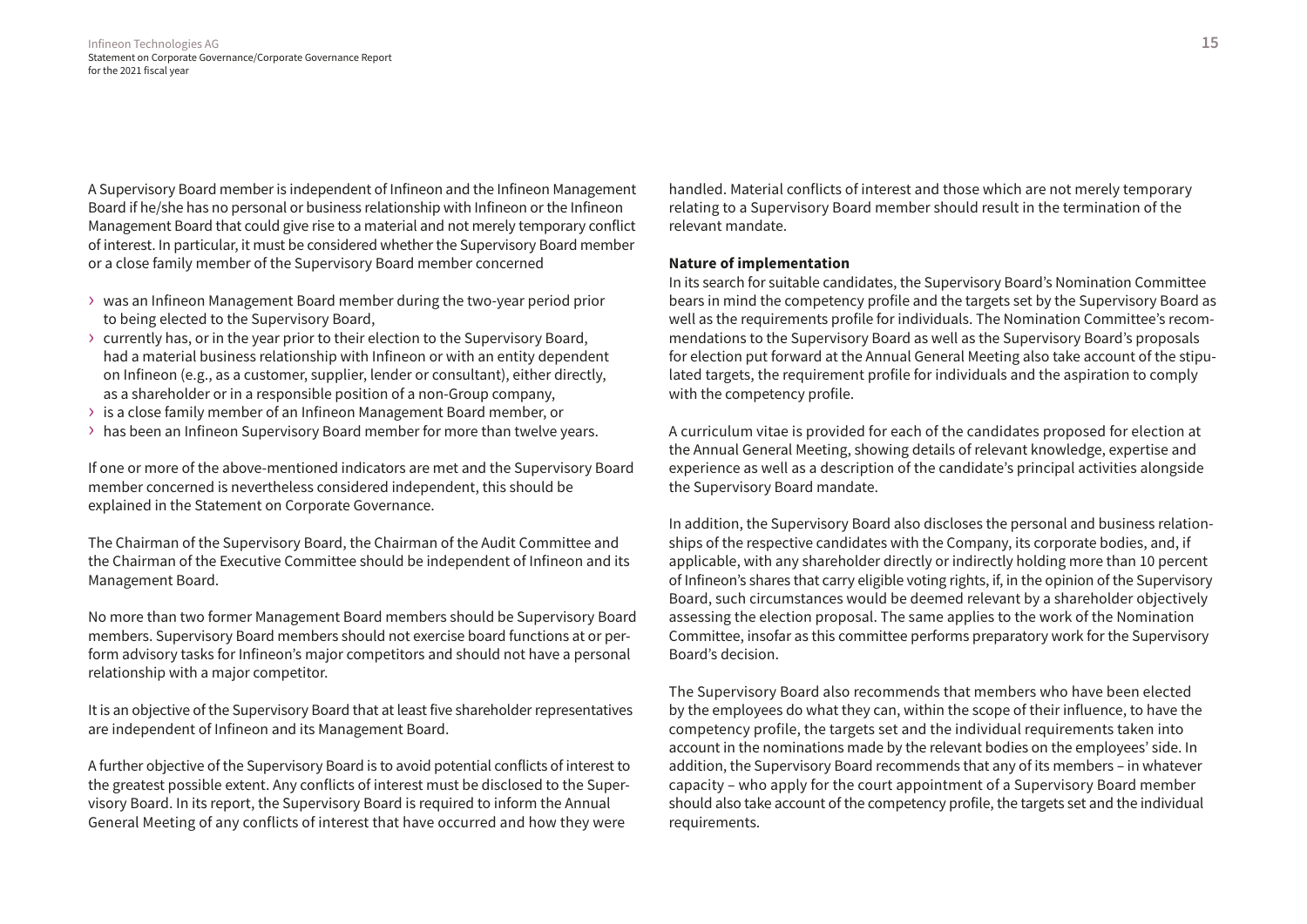A Supervisory Board member is independent of Infineon and the Infineon Management Board if he/she has no personal or business relationship with Infineon or the Infineon Management Board that could give rise to a material and not merely temporary conflict of interest. In particular, it must be considered whether the Supervisory Board member or a close family member of the Supervisory Board member concerned

- › was an Infineon Management Board member during the two-year period prior to being elected to the Supervisory Board,
- › currently has, or in the year prior to their election to the Supervisory Board, had a material business relationship with Infineon or with an entity dependent on Infineon (e.g., as a customer, supplier, lender or consultant), either directly, as a shareholder or in a responsible position of a non-Group company,
- › is a close family member of an Infineon Management Board member, or
- › has been an Infineon Supervisory Board member for more than twelve years.

If one or more of the above-mentioned indicators are met and the Supervisory Board member concerned is nevertheless considered independent, this should be explained in the Statement on Corporate Governance.

The Chairman of the Supervisory Board, the Chairman of the Audit Committee and the Chairman of the Executive Committee should be independent of Infineon and its Management Board.

No more than two former Management Board members should be Supervisory Board members. Supervisory Board members should not exercise board functions at or perform advisory tasks for Infineon's major competitors and should not have a personal relationship with a major competitor.

It is an objective of the Supervisory Board that at least five shareholder representatives are independent of Infineon and its Management Board.

A further objective of the Supervisory Board is to avoid potential conflicts of interest to the greatest possible extent. Any conflicts of interest must be disclosed to the Supervisory Board. In its report, the Supervisory Board is required to inform the Annual General Meeting of any conflicts of interest that have occurred and how they were

handled. Material conflicts of interest and those which are not merely temporary relating to a Supervisory Board member should result in the termination of the relevant mandate.

# **Nature of implementation**

In its search for suitable candidates, the Supervisory Board's Nomination Committee bears in mind the competency profile and the targets set by the Supervisory Board as well as the requirements profile for individuals. The Nomination Committee's recommendations to the Supervisory Board as well as the Supervisory Board's proposals for election put forward at the Annual General Meeting also take account of the stipulated targets, the requirement profile for individuals and the aspiration to comply with the competency profile.

A curriculum vitae is provided for each of the candidates proposed for election at the Annual General Meeting, showing details of relevant knowledge, expertise and experience as well as a description of the candidate's principal activities alongside the Supervisory Board mandate.

In addition, the Supervisory Board also discloses the personal and business relationships of the respective candidates with the Company, its corporate bodies, and, if applicable, with any shareholder directly or indirectly holding more than 10 percent of Infineon's shares that carry eligible voting rights, if, in the opinion of the Supervisory Board, such circumstances would be deemed relevant by a shareholder objectively assessing the election proposal. The same applies to the work of the Nomination Committee, insofar as this committee performs preparatory work for the Supervisory Board's decision.

The Supervisory Board also recommends that members who have been elected by the employees do what they can, within the scope of their influence, to have the competency profile, the targets set and the individual requirements taken into account in the nominations made by the relevant bodies on the employees' side. In addition, the Supervisory Board recommends that any of its members – in whatever capacity – who apply for the court appointment of a Supervisory Board member should also take account of the competency profile, the targets set and the individual requirements.